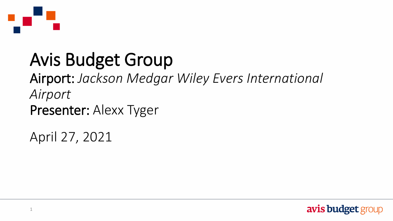

### Avis Budget Group

Airport: *Jackson Medgar Wiley Evers International Airport* Presenter: Alexx Tyger

April 27, 2021

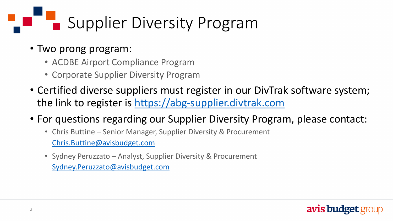# Supplier Diversity Program

- Two prong program:
	- ACDBE Airport Compliance Program
	- Corporate Supplier Diversity Program
- Certified diverse suppliers must register in our DivTrak software system; the link to register is [https://abg-supplier.divtrak.com](https://abg-supplier.divtrak.com/)
- For questions regarding our Supplier Diversity Program, please contact:
	- Chris Buttine Senior Manager, Supplier Diversity & Procurement [Chris.Buttine@avisbudget.com](mailto:Chris.Buttine@avisbudget.com)
	- Sydney Peruzzato Analyst, Supplier Diversity & Procurement [Sydney.Peruzzato@avisbudget.com](mailto:Sydney.Peruzzato@avisbudget.com)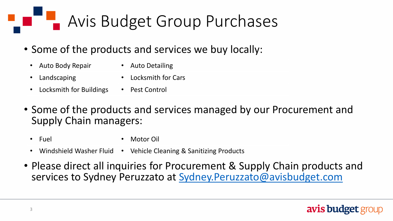### Avis Budget Group Purchases

- Some of the products and services we buy locally:
	- Auto Body Repair Auto Detailing
		-
	- Landscaping Locksmith for Cars
	- Locksmith for Buildings Pest Control
- Some of the products and services managed by our Procurement and Supply Chain managers:
	- Fuel Motor Oil
	- Windshield Washer Fluid Vehicle Cleaning & Sanitizing Products
- Please direct all inquiries for Procurement & Supply Chain products and services to Sydney Peruzzato at Sydney. Peruzzato@avisbudget.com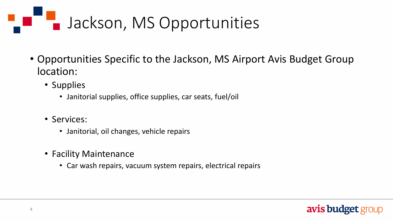## Jackson, MS Opportunities

- Opportunities Specific to the Jackson, MS Airport Avis Budget Group location:
	- Supplies
		- Janitorial supplies, office supplies, car seats, fuel/oil
	- Services:
		- Janitorial, oil changes, vehicle repairs
	- Facility Maintenance
		- Car wash repairs, vacuum system repairs, electrical repairs

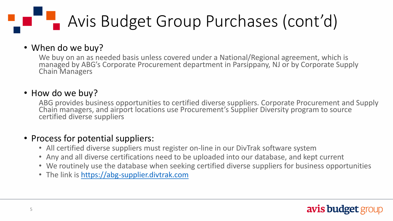### Avis Budget Group Purchases (cont'd)

#### • When do we buy?

We buy on an as needed basis unless covered under a National/Regional agreement, which is managed by ABG's Corporate Procurement department in Parsippany, NJ or by Corporate Supply Chain Managers

#### • How do we buy?

ABG provides business opportunities to certified diverse suppliers. Corporate Procurement and Supply Chain managers, and airport locations use Procurement's Supplier Diversity program to source certified diverse suppliers

#### • Process for potential suppliers:

- All certified diverse suppliers must register on-line in our DivTrak software system
- Any and all diverse certifications need to be uploaded into our database, and kept current
- We routinely use the database when seeking certified diverse suppliers for business opportunities
- The link is [https://abg-supplier.divtrak.com](https://abg-supplier.divtrak.com/)

#### **avis budget group**